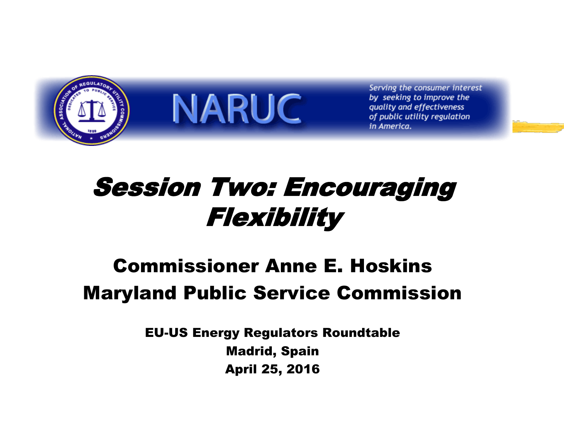

Serving the consumer interest by seeking to improve the quality and effectiveness of public utility regulation in America.

### Session Two: Encouraging Flexibility

**NARUC** 

#### Commissioner Anne E. Hoskins Maryland Public Service Commission

EU-US Energy Regulators Roundtable Madrid, Spain April 25, 2016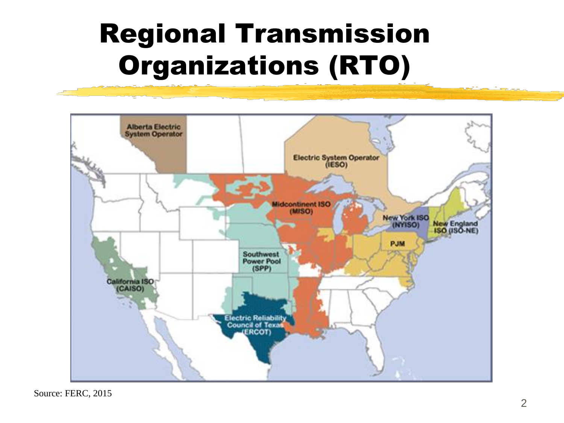## Regional Transmission Organizations (RTO)



Source: FERC, 2015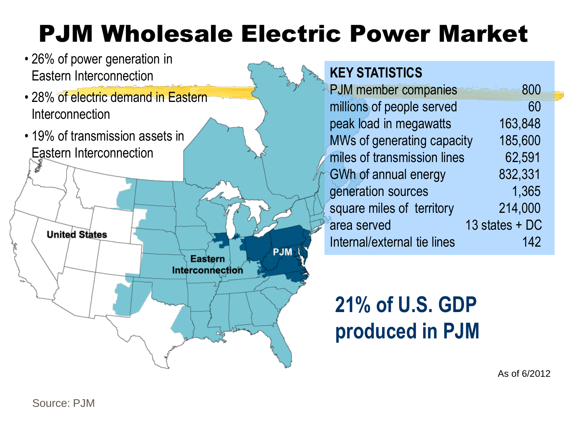### PJM Wholesale Electric Power Market

- 26% of power generation in Eastern Interconnection
- 28% of electric demand in Eastern Interconnection
- 19% of transmission assets in Eastern Interconnection



#### **KEY STATISTICS**

| PJM member companies        | 800            |
|-----------------------------|----------------|
| millions of people served   | 60             |
| peak load in megawatts      | 163,848        |
| MWs of generating capacity  | 185,600        |
| miles of transmission lines | 62,591         |
| GWh of annual energy        | 832,331        |
| generation sources          | 1,365          |
| square miles of territory   | 214,000        |
| area served                 | 13 states + DC |
| Internal/external tie lines | 142            |

#### **21% of U.S. GDP produced in PJM**

As of 6/2012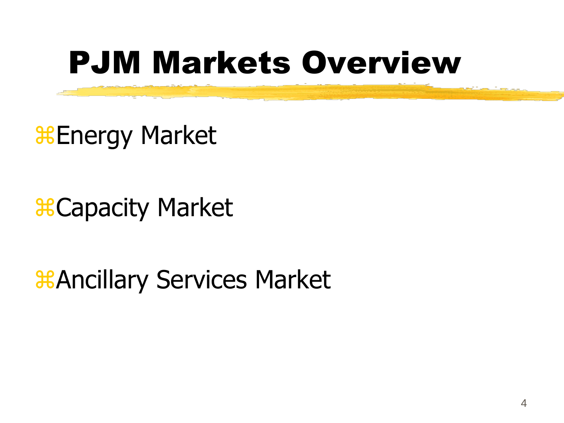# PJM Markets Overview

**& Energy Market** 

**B** Capacity Market

*CANCILLARY Services Market*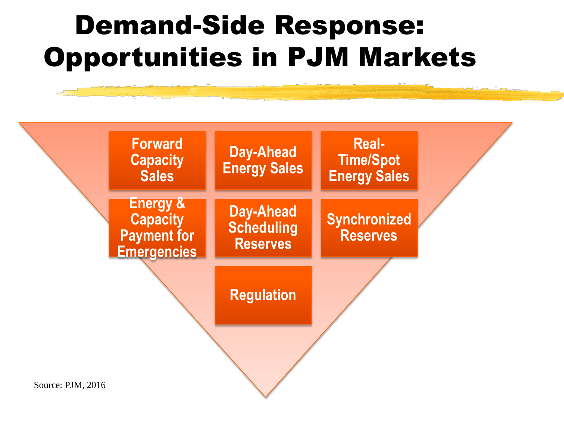## Demand-Side Response: Opportunities in PJM Markets

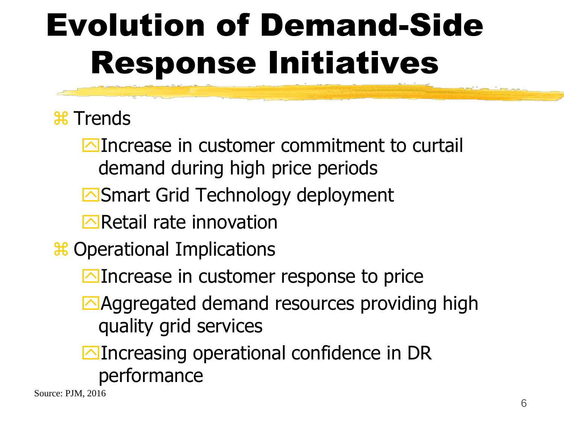# Evolution of Demand-Side Response Initiatives

#### **\\\** Trends

**E**Increase in customer commitment to curtail demand during high price periods

- Smart Grid Technology deployment
- $\triangleright$  Retail rate innovation

**\\$** Operational Implications

- **E**Increase in customer response to price
- Aggregated demand resources providing high quality grid services
- **Increasing operational confidence in DR** performance

Source: PJM, 2016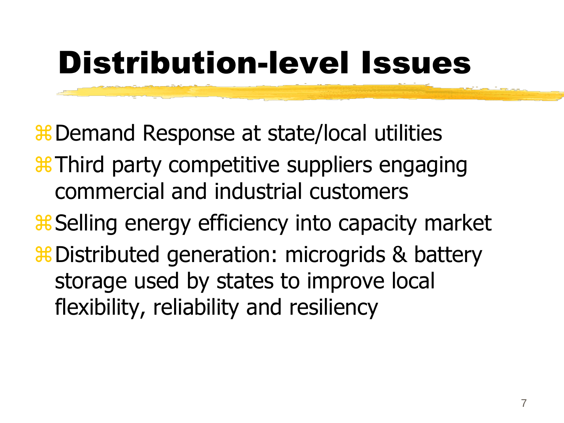# Distribution-level Issues

**# Demand Response at state/local utilities** 

Third party competitive suppliers engaging commercial and industrial customers

**& Selling energy efficiency into capacity market** 

**#Distributed generation: microgrids & battery** storage used by states to improve local flexibility, reliability and resiliency